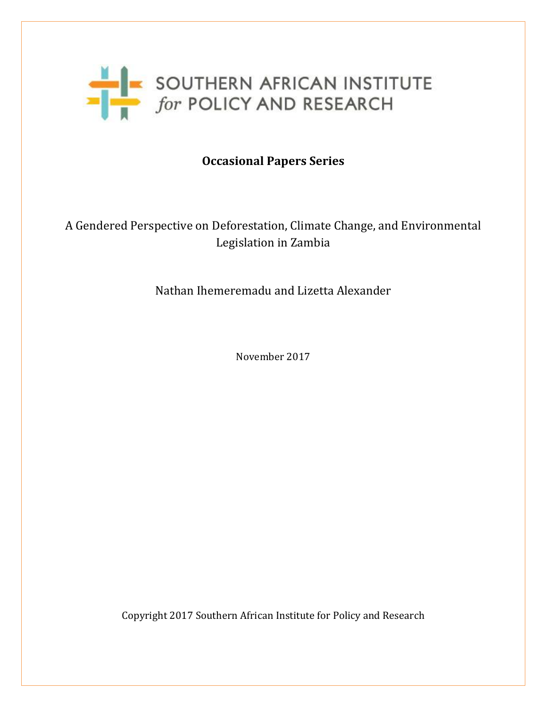

# **Occasional Papers Series**

# A Gendered Perspective on Deforestation, Climate Change, and Environmental Legislation in Zambia

# Nathan Ihemeremadu and Lizetta Alexander

November 2017

Copyright 2017 Southern African Institute for Policy and Research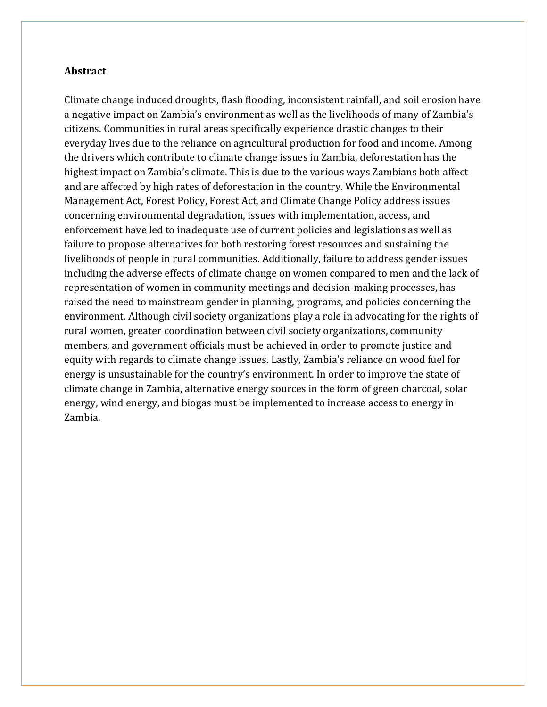#### **Abstract**

Climate change induced droughts, flash flooding, inconsistent rainfall, and soil erosion have a negative impact on Zambia's environment as well as the livelihoods of many of Zambia's citizens. Communities in rural areas specifically experience drastic changes to their everyday lives due to the reliance on agricultural production for food and income. Among the drivers which contribute to climate change issues in Zambia, deforestation has the highest impact on Zambia's climate. This is due to the various ways Zambians both affect and are affected by high rates of deforestation in the country. While the Environmental Management Act, Forest Policy, Forest Act, and Climate Change Policy address issues concerning environmental degradation, issues with implementation, access, and enforcement have led to inadequate use of current policies and legislations as well as failure to propose alternatives for both restoring forest resources and sustaining the livelihoods of people in rural communities. Additionally, failure to address gender issues including the adverse effects of climate change on women compared to men and the lack of representation of women in community meetings and decision-making processes, has raised the need to mainstream gender in planning, programs, and policies concerning the environment. Although civil society organizations play a role in advocating for the rights of rural women, greater coordination between civil society organizations, community members, and government officials must be achieved in order to promote justice and equity with regards to climate change issues. Lastly, Zambia's reliance on wood fuel for energy is unsustainable for the country's environment. In order to improve the state of climate change in Zambia, alternative energy sources in the form of green charcoal, solar energy, wind energy, and biogas must be implemented to increase access to energy in Zambia.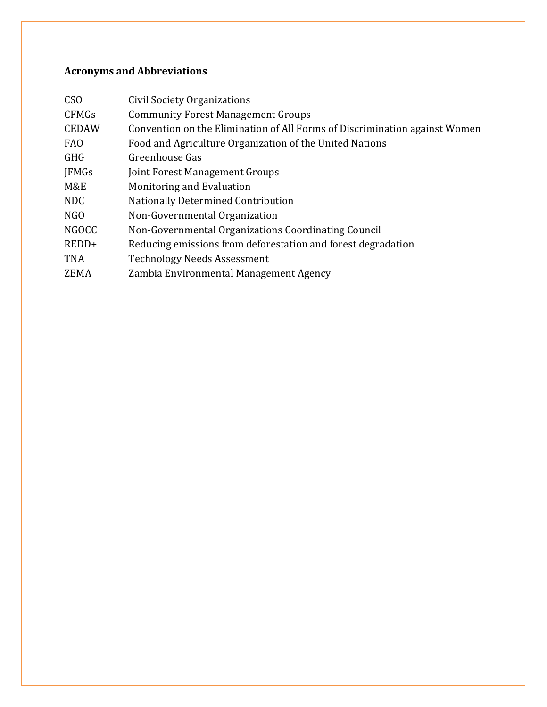# **Acronyms and Abbreviations**

| C <sub>S</sub> O | Civil Society Organizations                                                |
|------------------|----------------------------------------------------------------------------|
| <b>CFMGs</b>     | <b>Community Forest Management Groups</b>                                  |
| <b>CEDAW</b>     | Convention on the Elimination of All Forms of Discrimination against Women |
| <b>FAO</b>       | Food and Agriculture Organization of the United Nations                    |
| <b>GHG</b>       | Greenhouse Gas                                                             |
| <b>JFMGs</b>     | Joint Forest Management Groups                                             |
| M&E              | Monitoring and Evaluation                                                  |
| NDC              | <b>Nationally Determined Contribution</b>                                  |
| NGO              | Non-Governmental Organization                                              |
| <b>NGOCC</b>     | Non-Governmental Organizations Coordinating Council                        |
| $REDD+$          | Reducing emissions from deforestation and forest degradation               |
| <b>TNA</b>       | <b>Technology Needs Assessment</b>                                         |
| ZEMA             | Zambia Environmental Management Agency                                     |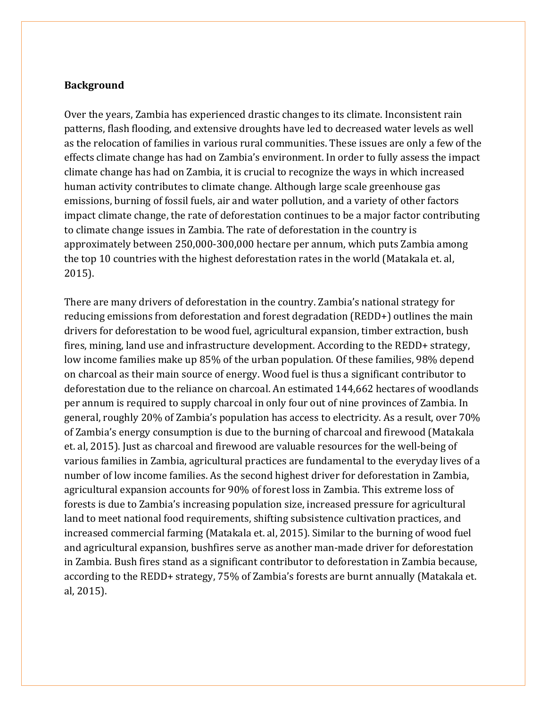#### **Background**

Over the years, Zambia has experienced drastic changes to its climate. Inconsistent rain patterns, flash flooding, and extensive droughts have led to decreased water levels as well as the relocation of families in various rural communities. These issues are only a few of the effects climate change has had on Zambia's environment. In order to fully assess the impact climate change has had on Zambia, it is crucial to recognize the ways in which increased human activity contributes to climate change. Although large scale greenhouse gas emissions, burning of fossil fuels, air and water pollution, and a variety of other factors impact climate change, the rate of deforestation continues to be a major factor contributing to climate change issues in Zambia. The rate of deforestation in the country is approximately between 250,000-300,000 hectare per annum, which puts Zambia among the top 10 countries with the highest deforestation rates in the world (Matakala et. al, 2015).

There are many drivers of deforestation in the country. Zambia's national strategy for reducing emissions from deforestation and forest degradation (REDD+) outlines the main drivers for deforestation to be wood fuel, agricultural expansion, timber extraction, bush fires, mining, land use and infrastructure development. According to the REDD+ strategy, low income families make up 85% of the urban population. Of these families, 98% depend on charcoal as their main source of energy. Wood fuel is thus a significant contributor to deforestation due to the reliance on charcoal. An estimated 144,662 hectares of woodlands per annum is required to supply charcoal in only four out of nine provinces of Zambia. In general, roughly 20% of Zambia's population has access to electricity. As a result, over 70% of Zambia's energy consumption is due to the burning of charcoal and firewood (Matakala et. al, 2015). Just as charcoal and firewood are valuable resources for the well-being of various families in Zambia, agricultural practices are fundamental to the everyday lives of a number of low income families. As the second highest driver for deforestation in Zambia, agricultural expansion accounts for 90% of forest loss in Zambia. This extreme loss of forests is due to Zambia's increasing population size, increased pressure for agricultural land to meet national food requirements, shifting subsistence cultivation practices, and increased commercial farming (Matakala et. al, 2015). Similar to the burning of wood fuel and agricultural expansion, bushfires serve as another man-made driver for deforestation in Zambia. Bush fires stand as a significant contributor to deforestation in Zambia because, according to the REDD+ strategy, 75% of Zambia's forests are burnt annually (Matakala et. al, 2015).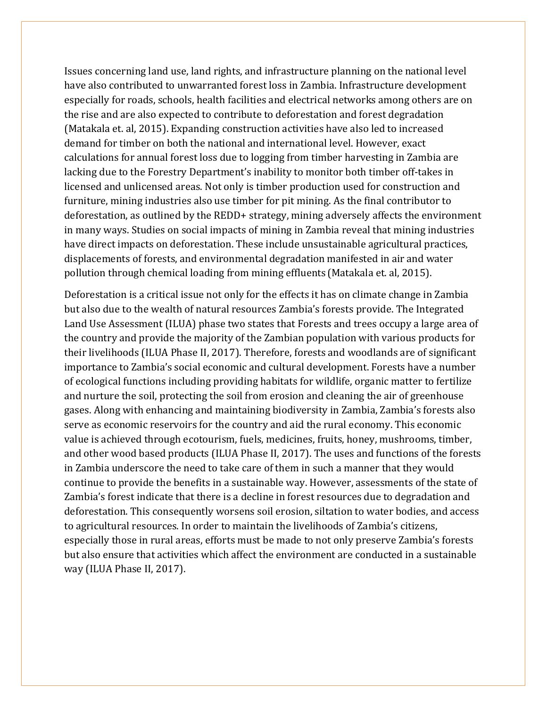Issues concerning land use, land rights, and infrastructure planning on the national level have also contributed to unwarranted forest loss in Zambia. Infrastructure development especially for roads, schools, health facilities and electrical networks among others are on the rise and are also expected to contribute to deforestation and forest degradation (Matakala et. al, 2015). Expanding construction activities have also led to increased demand for timber on both the national and international level. However, exact calculations for annual forest loss due to logging from timber harvesting in Zambia are lacking due to the Forestry Department's inability to monitor both timber off-takes in licensed and unlicensed areas. Not only is timber production used for construction and furniture, mining industries also use timber for pit mining. As the final contributor to deforestation, as outlined by the REDD+ strategy, mining adversely affects the environment in many ways. Studies on social impacts of mining in Zambia reveal that mining industries have direct impacts on deforestation. These include unsustainable agricultural practices, displacements of forests, and environmental degradation manifested in air and water pollution through chemical loading from mining effluents (Matakala et. al, 2015).

Deforestation is a critical issue not only for the effects it has on climate change in Zambia but also due to the wealth of natural resources Zambia's forests provide. The Integrated Land Use Assessment (ILUA) phase two states that Forests and trees occupy a large area of the country and provide the majority of the Zambian population with various products for their livelihoods (ILUA Phase II, 2017). Therefore, forests and woodlands are of significant importance to Zambia's social economic and cultural development. Forests have a number of ecological functions including providing habitats for wildlife, organic matter to fertilize and nurture the soil, protecting the soil from erosion and cleaning the air of greenhouse gases. Along with enhancing and maintaining biodiversity in Zambia, Zambia's forests also serve as economic reservoirs for the country and aid the rural economy. This economic value is achieved through ecotourism, fuels, medicines, fruits, honey, mushrooms, timber, and other wood based products (ILUA Phase II, 2017). The uses and functions of the forests in Zambia underscore the need to take care of them in such a manner that they would continue to provide the benefits in a sustainable way. However, assessments of the state of Zambia's forest indicate that there is a decline in forest resources due to degradation and deforestation. This consequently worsens soil erosion, siltation to water bodies, and access to agricultural resources. In order to maintain the livelihoods of Zambia's citizens, especially those in rural areas, efforts must be made to not only preserve Zambia's forests but also ensure that activities which affect the environment are conducted in a sustainable way (ILUA Phase II, 2017).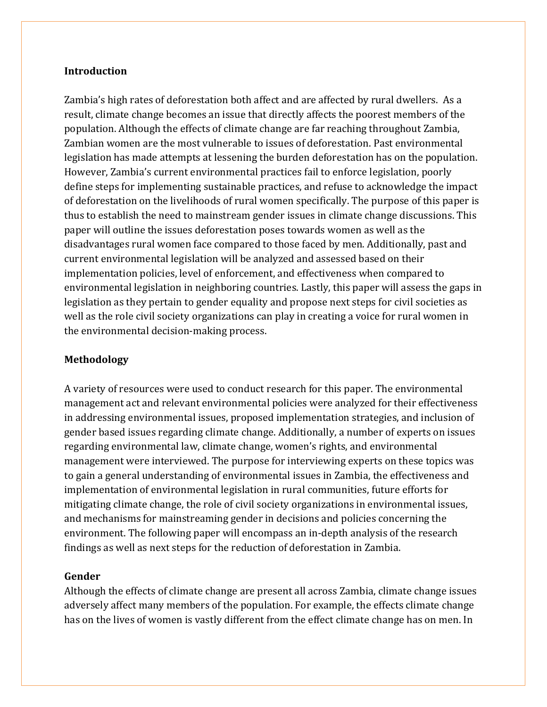#### **Introduction**

Zambia's high rates of deforestation both affect and are affected by rural dwellers. As a result, climate change becomes an issue that directly affects the poorest members of the population. Although the effects of climate change are far reaching throughout Zambia, Zambian women are the most vulnerable to issues of deforestation. Past environmental legislation has made attempts at lessening the burden deforestation has on the population. However, Zambia's current environmental practices fail to enforce legislation, poorly define steps for implementing sustainable practices, and refuse to acknowledge the impact of deforestation on the livelihoods of rural women specifically. The purpose of this paper is thus to establish the need to mainstream gender issues in climate change discussions. This paper will outline the issues deforestation poses towards women as well as the disadvantages rural women face compared to those faced by men. Additionally, past and current environmental legislation will be analyzed and assessed based on their implementation policies, level of enforcement, and effectiveness when compared to environmental legislation in neighboring countries. Lastly, this paper will assess the gaps in legislation as they pertain to gender equality and propose next steps for civil societies as well as the role civil society organizations can play in creating a voice for rural women in the environmental decision-making process.

### **Methodology**

A variety of resources were used to conduct research for this paper. The environmental management act and relevant environmental policies were analyzed for their effectiveness in addressing environmental issues, proposed implementation strategies, and inclusion of gender based issues regarding climate change. Additionally, a number of experts on issues regarding environmental law, climate change, women's rights, and environmental management were interviewed. The purpose for interviewing experts on these topics was to gain a general understanding of environmental issues in Zambia, the effectiveness and implementation of environmental legislation in rural communities, future efforts for mitigating climate change, the role of civil society organizations in environmental issues, and mechanisms for mainstreaming gender in decisions and policies concerning the environment. The following paper will encompass an in-depth analysis of the research findings as well as next steps for the reduction of deforestation in Zambia.

#### **Gender**

Although the effects of climate change are present all across Zambia, climate change issues adversely affect many members of the population. For example, the effects climate change has on the lives of women is vastly different from the effect climate change has on men. In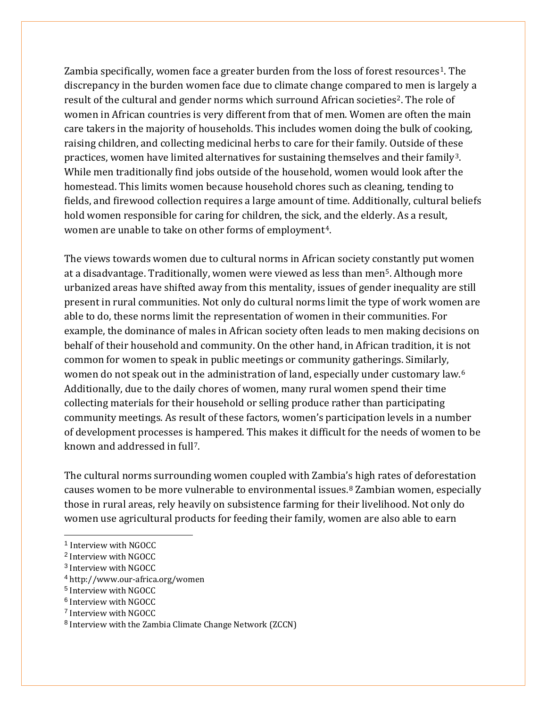Zambia specifically, women face a greater burden from the loss of forest resources<sup>[1](#page-6-0)</sup>. The discrepancy in the burden women face due to climate change compared to men is largely a result of the cultural and gender norms which surround African societies<sup>2</sup>. The role of women in African countries is very different from that of men. Women are often the main care takers in the majority of households. This includes women doing the bulk of cooking, raising children, and collecting medicinal herbs to care for their family. Outside of these practices, women have limited alternatives for sustaining themselves and their family<sup>[3](#page-6-2)</sup>. While men traditionally find jobs outside of the household, women would look after the homestead. This limits women because household chores such as cleaning, tending to fields, and firewood collection requires a large amount of time. Additionally, cultural beliefs hold women responsible for caring for children, the sick, and the elderly. As a result, women are unable to take on other forms of employment<sup>4</sup>.

The views towards women due to cultural norms in African society constantly put women at a disadvantage. Traditionally, women were viewed as less than men[5](#page-6-4). Although more urbanized areas have shifted away from this mentality, issues of gender inequality are still present in rural communities. Not only do cultural norms limit the type of work women are able to do, these norms limit the representation of women in their communities. For example, the dominance of males in African society often leads to men making decisions on behalf of their household and community. On the other hand, in African tradition, it is not common for women to speak in public meetings or community gatherings. Similarly, women do not speak out in the administration of land, especially under customary law.<sup>[6](#page-6-5)</sup> Additionally, due to the daily chores of women, many rural women spend their time collecting materials for their household or selling produce rather than participating community meetings. As result of these factors, women's participation levels in a number of development processes is hampered. This makes it difficult for the needs of women to be known and addressed in full[7.](#page-6-6)

The cultural norms surrounding women coupled with Zambia's high rates of deforestation causes women to be more vulnerable to environmental issues.[8](#page-6-7) Zambian women, especially those in rural areas, rely heavily on subsistence farming for their livelihood. Not only do women use agricultural products for feeding their family, women are also able to earn

<span id="page-6-3"></span><sup>4</sup> http://www.our-africa.org/women

- <span id="page-6-5"></span><sup>6</sup> Interview with NGOCC
- <span id="page-6-6"></span><sup>7</sup> Interview with NGOCC

<span id="page-6-0"></span> <sup>1</sup> Interview with NGOCC

<span id="page-6-1"></span><sup>2</sup> Interview with NGOCC

<span id="page-6-2"></span><sup>3</sup> Interview with NGOCC

<span id="page-6-4"></span><sup>5</sup> Interview with NGOCC

<span id="page-6-7"></span><sup>8</sup> Interview with the Zambia Climate Change Network (ZCCN)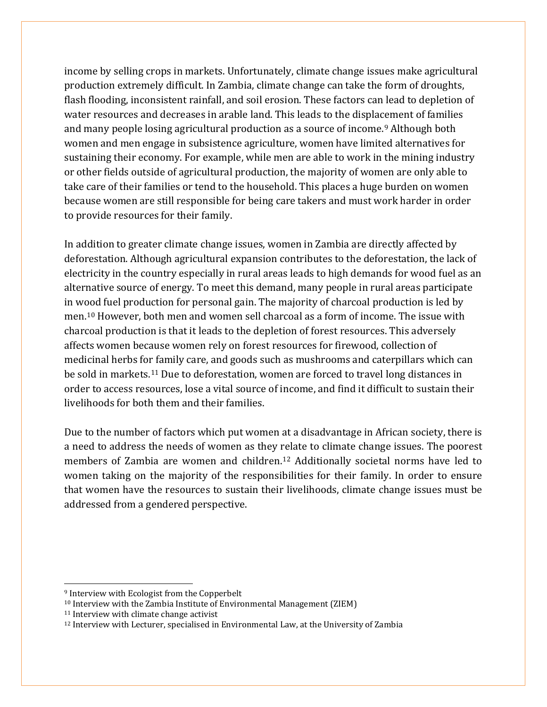income by selling crops in markets. Unfortunately, climate change issues make agricultural production extremely difficult. In Zambia, climate change can take the form of droughts, flash flooding, inconsistent rainfall, and soil erosion. These factors can lead to depletion of water resources and decreases in arable land. This leads to the displacement of families and many people losing agricultural production as a source of income.[9](#page-7-0) Although both women and men engage in subsistence agriculture, women have limited alternatives for sustaining their economy. For example, while men are able to work in the mining industry or other fields outside of agricultural production, the majority of women are only able to take care of their families or tend to the household. This places a huge burden on women because women are still responsible for being care takers and must work harder in order to provide resources for their family.

In addition to greater climate change issues, women in Zambia are directly affected by deforestation. Although agricultural expansion contributes to the deforestation, the lack of electricity in the country especially in rural areas leads to high demands for wood fuel as an alternative source of energy. To meet this demand, many people in rural areas participate in wood fuel production for personal gain. The majority of charcoal production is led by men.[10](#page-7-1) However, both men and women sell charcoal as a form of income. The issue with charcoal production is that it leads to the depletion of forest resources. This adversely affects women because women rely on forest resources for firewood, collection of medicinal herbs for family care, and goods such as mushrooms and caterpillars which can be sold in markets.[11](#page-7-2) Due to deforestation, women are forced to travel long distances in order to access resources, lose a vital source of income, and find it difficult to sustain their livelihoods for both them and their families.

Due to the number of factors which put women at a disadvantage in African society, there is a need to address the needs of women as they relate to climate change issues. The poorest members of Zambia are women and children.[12](#page-7-3) Additionally societal norms have led to women taking on the majority of the responsibilities for their family. In order to ensure that women have the resources to sustain their livelihoods, climate change issues must be addressed from a gendered perspective.

 $\overline{a}$ 

<span id="page-7-0"></span><sup>9</sup> Interview with Ecologist from the Copperbelt

<span id="page-7-1"></span><sup>10</sup> Interview with the Zambia Institute of Environmental Management (ZIEM)

<span id="page-7-2"></span><sup>11</sup> Interview with climate change activist

<span id="page-7-3"></span><sup>12</sup> Interview with Lecturer, specialised in Environmental Law, at the University of Zambia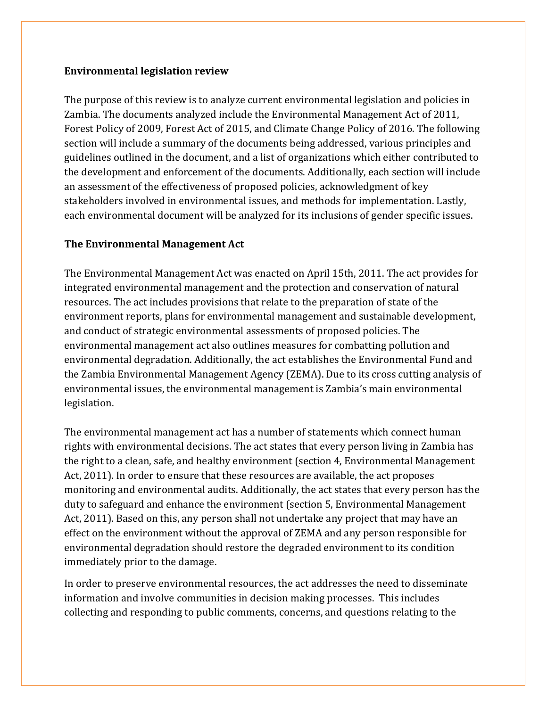#### **Environmental legislation review**

The purpose of this review is to analyze current environmental legislation and policies in Zambia. The documents analyzed include the Environmental Management Act of 2011, Forest Policy of 2009, Forest Act of 2015, and Climate Change Policy of 2016. The following section will include a summary of the documents being addressed, various principles and guidelines outlined in the document, and a list of organizations which either contributed to the development and enforcement of the documents. Additionally, each section will include an assessment of the effectiveness of proposed policies, acknowledgment of key stakeholders involved in environmental issues, and methods for implementation. Lastly, each environmental document will be analyzed for its inclusions of gender specific issues.

### **The Environmental Management Act**

The Environmental Management Act was enacted on April 15th, 2011. The act provides for integrated environmental management and the protection and conservation of natural resources. The act includes provisions that relate to the preparation of state of the environment reports, plans for environmental management and sustainable development, and conduct of strategic environmental assessments of proposed policies. The environmental management act also outlines measures for combatting pollution and environmental degradation. Additionally, the act establishes the Environmental Fund and the Zambia Environmental Management Agency (ZEMA). Due to its cross cutting analysis of environmental issues, the environmental management is Zambia's main environmental legislation.

The environmental management act has a number of statements which connect human rights with environmental decisions. The act states that every person living in Zambia has the right to a clean, safe, and healthy environment (section 4, Environmental Management Act, 2011). In order to ensure that these resources are available, the act proposes monitoring and environmental audits. Additionally, the act states that every person has the duty to safeguard and enhance the environment (section 5, Environmental Management Act, 2011). Based on this, any person shall not undertake any project that may have an effect on the environment without the approval of ZEMA and any person responsible for environmental degradation should restore the degraded environment to its condition immediately prior to the damage.

In order to preserve environmental resources, the act addresses the need to disseminate information and involve communities in decision making processes. This includes collecting and responding to public comments, concerns, and questions relating to the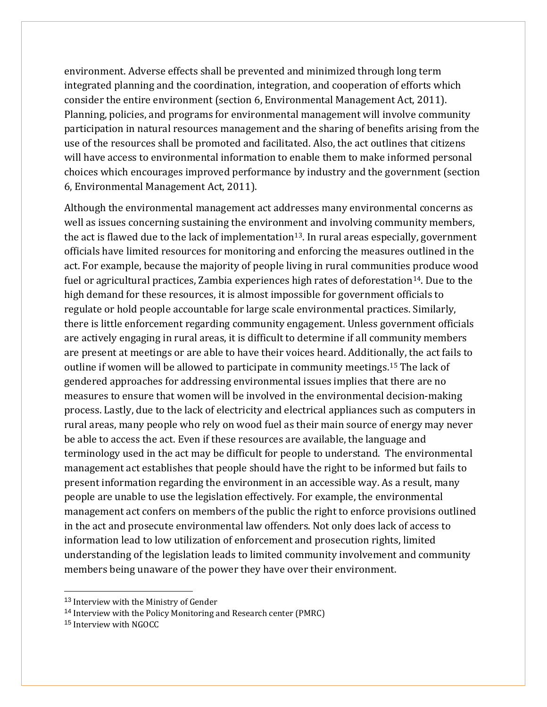environment. Adverse effects shall be prevented and minimized through long term integrated planning and the coordination, integration, and cooperation of efforts which consider the entire environment (section 6, Environmental Management Act, 2011). Planning, policies, and programs for environmental management will involve community participation in natural resources management and the sharing of benefits arising from the use of the resources shall be promoted and facilitated. Also, the act outlines that citizens will have access to environmental information to enable them to make informed personal choices which encourages improved performance by industry and the government (section 6, Environmental Management Act, 2011).

Although the environmental management act addresses many environmental concerns as well as issues concerning sustaining the environment and involving community members, the act is flawed due to the lack of implementation<sup>13</sup>. In rural areas especially, government officials have limited resources for monitoring and enforcing the measures outlined in the act. For example, because the majority of people living in rural communities produce wood fuel or agricultural practices, Zambia experiences high rates of deforestation<sup>[14](#page-9-1)</sup>. Due to the high demand for these resources, it is almost impossible for government officials to regulate or hold people accountable for large scale environmental practices. Similarly, there is little enforcement regarding community engagement. Unless government officials are actively engaging in rural areas, it is difficult to determine if all community members are present at meetings or are able to have their voices heard. Additionally, the act fails to outline if women will be allowed to participate in community meetings.[15](#page-9-2) The lack of gendered approaches for addressing environmental issues implies that there are no measures to ensure that women will be involved in the environmental decision-making process. Lastly, due to the lack of electricity and electrical appliances such as computers in rural areas, many people who rely on wood fuel as their main source of energy may never be able to access the act. Even if these resources are available, the language and terminology used in the act may be difficult for people to understand. The environmental management act establishes that people should have the right to be informed but fails to present information regarding the environment in an accessible way. As a result, many people are unable to use the legislation effectively. For example, the environmental management act confers on members of the public the right to enforce provisions outlined in the act and prosecute environmental law offenders. Not only does lack of access to information lead to low utilization of enforcement and prosecution rights, limited understanding of the legislation leads to limited community involvement and community members being unaware of the power they have over their environment.

<span id="page-9-0"></span><sup>&</sup>lt;sup>13</sup> Interview with the Ministry of Gender

<span id="page-9-1"></span><sup>&</sup>lt;sup>14</sup> Interview with the Policy Monitoring and Research center (PMRC)

<span id="page-9-2"></span><sup>15</sup> Interview with NGOCC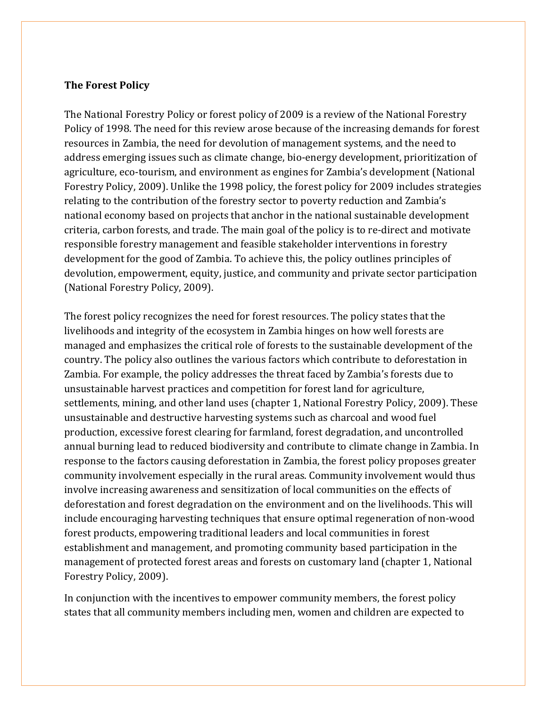#### **The Forest Policy**

The National Forestry Policy or forest policy of 2009 is a review of the National Forestry Policy of 1998. The need for this review arose because of the increasing demands for forest resources in Zambia, the need for devolution of management systems, and the need to address emerging issues such as climate change, bio-energy development, prioritization of agriculture, eco-tourism, and environment as engines for Zambia's development (National Forestry Policy, 2009). Unlike the 1998 policy, the forest policy for 2009 includes strategies relating to the contribution of the forestry sector to poverty reduction and Zambia's national economy based on projects that anchor in the national sustainable development criteria, carbon forests, and trade. The main goal of the policy is to re-direct and motivate responsible forestry management and feasible stakeholder interventions in forestry development for the good of Zambia. To achieve this, the policy outlines principles of devolution, empowerment, equity, justice, and community and private sector participation (National Forestry Policy, 2009).

The forest policy recognizes the need for forest resources. The policy states that the livelihoods and integrity of the ecosystem in Zambia hinges on how well forests are managed and emphasizes the critical role of forests to the sustainable development of the country. The policy also outlines the various factors which contribute to deforestation in Zambia. For example, the policy addresses the threat faced by Zambia's forests due to unsustainable harvest practices and competition for forest land for agriculture, settlements, mining, and other land uses (chapter 1, National Forestry Policy, 2009). These unsustainable and destructive harvesting systems such as charcoal and wood fuel production, excessive forest clearing for farmland, forest degradation, and uncontrolled annual burning lead to reduced biodiversity and contribute to climate change in Zambia. In response to the factors causing deforestation in Zambia, the forest policy proposes greater community involvement especially in the rural areas. Community involvement would thus involve increasing awareness and sensitization of local communities on the effects of deforestation and forest degradation on the environment and on the livelihoods. This will include encouraging harvesting techniques that ensure optimal regeneration of non-wood forest products, empowering traditional leaders and local communities in forest establishment and management, and promoting community based participation in the management of protected forest areas and forests on customary land (chapter 1, National Forestry Policy, 2009).

In conjunction with the incentives to empower community members, the forest policy states that all community members including men, women and children are expected to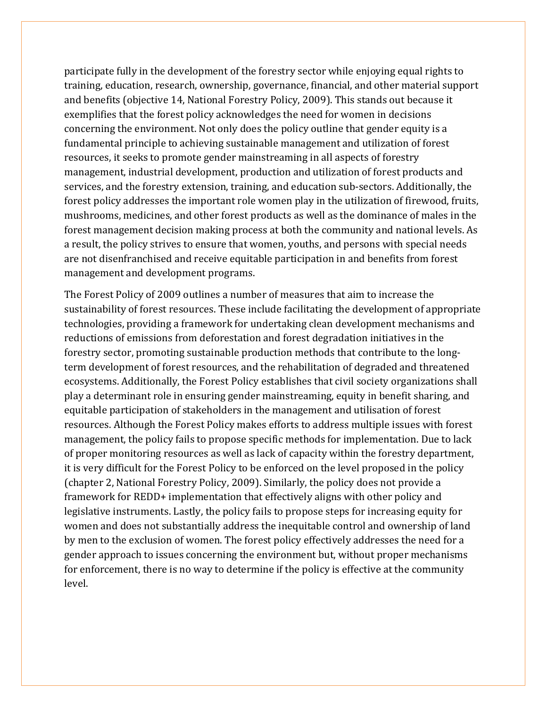participate fully in the development of the forestry sector while enjoying equal rights to training, education, research, ownership, governance, financial, and other material support and benefits (objective 14, National Forestry Policy, 2009). This stands out because it exemplifies that the forest policy acknowledges the need for women in decisions concerning the environment. Not only does the policy outline that gender equity is a fundamental principle to achieving sustainable management and utilization of forest resources, it seeks to promote gender mainstreaming in all aspects of forestry management, industrial development, production and utilization of forest products and services, and the forestry extension, training, and education sub-sectors. Additionally, the forest policy addresses the important role women play in the utilization of firewood, fruits, mushrooms, medicines, and other forest products as well as the dominance of males in the forest management decision making process at both the community and national levels. As a result, the policy strives to ensure that women, youths, and persons with special needs are not disenfranchised and receive equitable participation in and benefits from forest management and development programs.

The Forest Policy of 2009 outlines a number of measures that aim to increase the sustainability of forest resources. These include facilitating the development of appropriate technologies, providing a framework for undertaking clean development mechanisms and reductions of emissions from deforestation and forest degradation initiatives in the forestry sector, promoting sustainable production methods that contribute to the longterm development of forest resources, and the rehabilitation of degraded and threatened ecosystems. Additionally, the Forest Policy establishes that civil society organizations shall play a determinant role in ensuring gender mainstreaming, equity in benefit sharing, and equitable participation of stakeholders in the management and utilisation of forest resources. Although the Forest Policy makes efforts to address multiple issues with forest management, the policy fails to propose specific methods for implementation. Due to lack of proper monitoring resources as well as lack of capacity within the forestry department, it is very difficult for the Forest Policy to be enforced on the level proposed in the policy (chapter 2, National Forestry Policy, 2009). Similarly, the policy does not provide a framework for REDD+ implementation that effectively aligns with other policy and legislative instruments. Lastly, the policy fails to propose steps for increasing equity for women and does not substantially address the inequitable control and ownership of land by men to the exclusion of women. The forest policy effectively addresses the need for a gender approach to issues concerning the environment but, without proper mechanisms for enforcement, there is no way to determine if the policy is effective at the community level.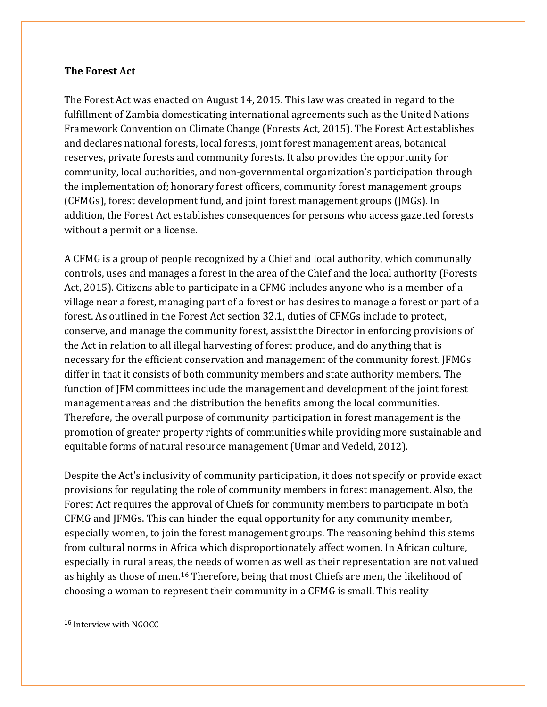## **The Forest Act**

The Forest Act was enacted on August 14, 2015. This law was created in regard to the fulfillment of Zambia domesticating international agreements such as the United Nations Framework Convention on Climate Change (Forests Act, 2015). The Forest Act establishes and declares national forests, local forests, joint forest management areas, botanical reserves, private forests and community forests. It also provides the opportunity for community, local authorities, and non-governmental organization's participation through the implementation of; honorary forest officers, community forest management groups (CFMGs), forest development fund, and joint forest management groups (JMGs). In addition, the Forest Act establishes consequences for persons who access gazetted forests without a permit or a license.

A CFMG is a group of people recognized by a Chief and local authority, which communally controls, uses and manages a forest in the area of the Chief and the local authority (Forests Act, 2015). Citizens able to participate in a CFMG includes anyone who is a member of a village near a forest, managing part of a forest or has desires to manage a forest or part of a forest. As outlined in the Forest Act section 32.1, duties of CFMGs include to protect, conserve, and manage the community forest, assist the Director in enforcing provisions of the Act in relation to all illegal harvesting of forest produce, and do anything that is necessary for the efficient conservation and management of the community forest. JFMGs differ in that it consists of both community members and state authority members. The function of JFM committees include the management and development of the joint forest management areas and the distribution the benefits among the local communities. Therefore, the overall purpose of community participation in forest management is the promotion of greater property rights of communities while providing more sustainable and equitable forms of natural resource management (Umar and Vedeld, 2012).

Despite the Act's inclusivity of community participation, it does not specify or provide exact provisions for regulating the role of community members in forest management. Also, the Forest Act requires the approval of Chiefs for community members to participate in both CFMG and JFMGs. This can hinder the equal opportunity for any community member, especially women, to join the forest management groups. The reasoning behind this stems from cultural norms in Africa which disproportionately affect women. In African culture, especially in rural areas, the needs of women as well as their representation are not valued as highly as those of men.[16](#page-12-0) Therefore, being that most Chiefs are men, the likelihood of choosing a woman to represent their community in a CFMG is small. This reality

<span id="page-12-0"></span> <sup>16</sup> Interview with NGOCC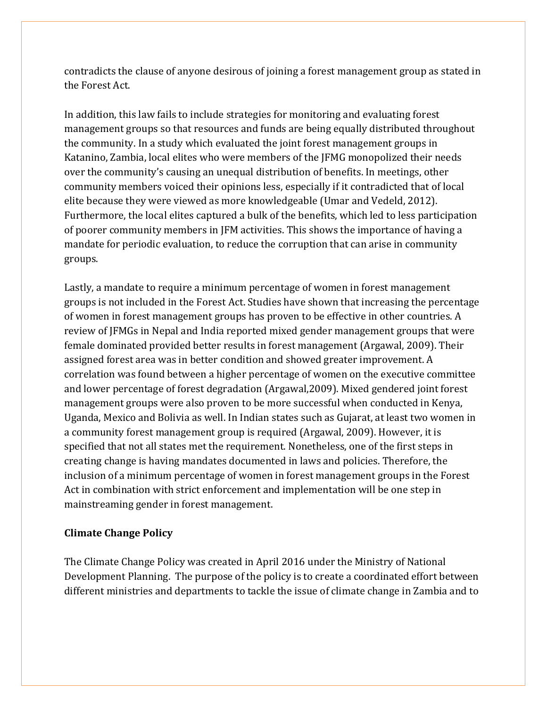contradicts the clause of anyone desirous of joining a forest management group as stated in the Forest Act.

In addition, this law fails to include strategies for monitoring and evaluating forest management groups so that resources and funds are being equally distributed throughout the community. In a study which evaluated the joint forest management groups in Katanino, Zambia, local elites who were members of the JFMG monopolized their needs over the community's causing an unequal distribution of benefits. In meetings, other community members voiced their opinions less, especially if it contradicted that of local elite because they were viewed as more knowledgeable (Umar and Vedeld, 2012). Furthermore, the local elites captured a bulk of the benefits, which led to less participation of poorer community members in JFM activities. This shows the importance of having a mandate for periodic evaluation, to reduce the corruption that can arise in community groups.

Lastly, a mandate to require a minimum percentage of women in forest management groups is not included in the Forest Act. Studies have shown that increasing the percentage of women in forest management groups has proven to be effective in other countries. A review of JFMGs in Nepal and India reported mixed gender management groups that were female dominated provided better results in forest management (Argawal, 2009). Their assigned forest area was in better condition and showed greater improvement. A correlation was found between a higher percentage of women on the executive committee and lower percentage of forest degradation (Argawal,2009). Mixed gendered joint forest management groups were also proven to be more successful when conducted in Kenya, Uganda, Mexico and Bolivia as well. In Indian states such as Gujarat, at least two women in a community forest management group is required (Argawal, 2009). However, it is specified that not all states met the requirement. Nonetheless, one of the first steps in creating change is having mandates documented in laws and policies. Therefore, the inclusion of a minimum percentage of women in forest management groups in the Forest Act in combination with strict enforcement and implementation will be one step in mainstreaming gender in forest management.

### **Climate Change Policy**

The Climate Change Policy was created in April 2016 under the Ministry of National Development Planning. The purpose of the policy is to create a coordinated effort between different ministries and departments to tackle the issue of climate change in Zambia and to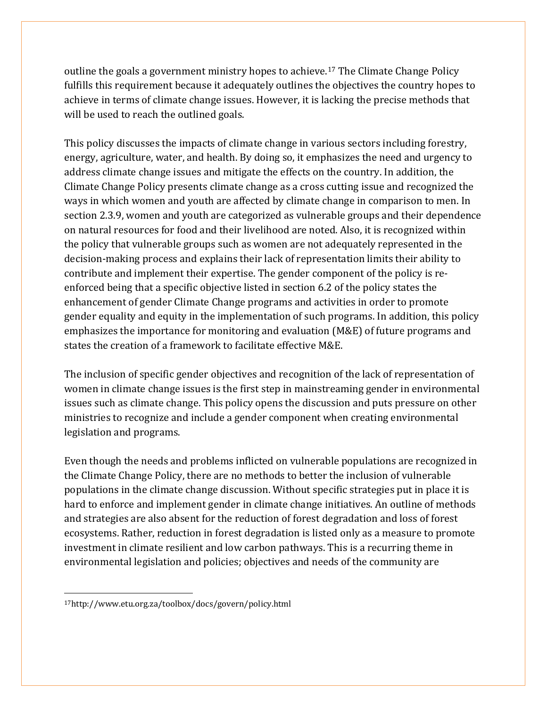outline the goals a government ministry hopes to achieve.[17](#page-14-0) The Climate Change Policy fulfills this requirement because it adequately outlines the objectives the country hopes to achieve in terms of climate change issues. However, it is lacking the precise methods that will be used to reach the outlined goals.

This policy discusses the impacts of climate change in various sectors including forestry, energy, agriculture, water, and health. By doing so, it emphasizes the need and urgency to address climate change issues and mitigate the effects on the country. In addition, the Climate Change Policy presents climate change as a cross cutting issue and recognized the ways in which women and youth are affected by climate change in comparison to men. In section 2.3.9, women and youth are categorized as vulnerable groups and their dependence on natural resources for food and their livelihood are noted. Also, it is recognized within the policy that vulnerable groups such as women are not adequately represented in the decision-making process and explains their lack of representation limits their ability to contribute and implement their expertise. The gender component of the policy is reenforced being that a specific objective listed in section 6.2 of the policy states the enhancement of gender Climate Change programs and activities in order to promote gender equality and equity in the implementation of such programs. In addition, this policy emphasizes the importance for monitoring and evaluation (M&E) of future programs and states the creation of a framework to facilitate effective M&E.

The inclusion of specific gender objectives and recognition of the lack of representation of women in climate change issues is the first step in mainstreaming gender in environmental issues such as climate change. This policy opens the discussion and puts pressure on other ministries to recognize and include a gender component when creating environmental legislation and programs.

Even though the needs and problems inflicted on vulnerable populations are recognized in the Climate Change Policy, there are no methods to better the inclusion of vulnerable populations in the climate change discussion. Without specific strategies put in place it is hard to enforce and implement gender in climate change initiatives. An outline of methods and strategies are also absent for the reduction of forest degradation and loss of forest ecosystems. Rather, reduction in forest degradation is listed only as a measure to promote investment in climate resilient and low carbon pathways. This is a recurring theme in environmental legislation and policies; objectives and needs of the community are

 $\ddot{\phantom{a}}$ 

<span id="page-14-0"></span><sup>17</sup>http://www.etu.org.za/toolbox/docs/govern/policy.html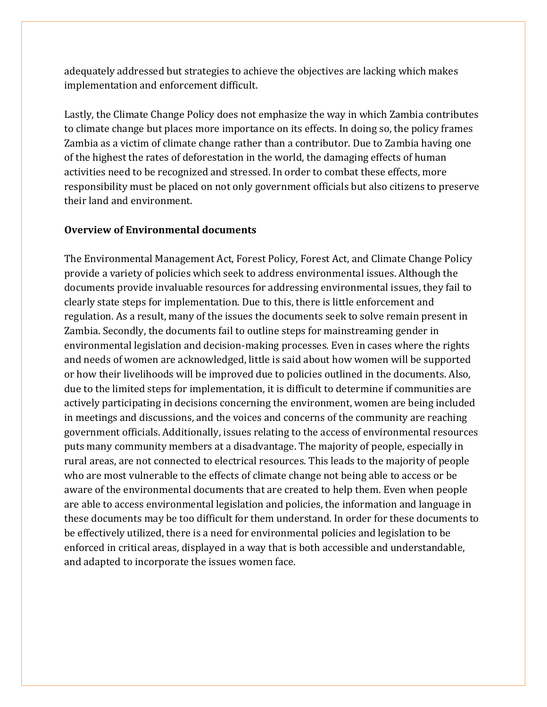adequately addressed but strategies to achieve the objectives are lacking which makes implementation and enforcement difficult.

Lastly, the Climate Change Policy does not emphasize the way in which Zambia contributes to climate change but places more importance on its effects. In doing so, the policy frames Zambia as a victim of climate change rather than a contributor. Due to Zambia having one of the highest the rates of deforestation in the world, the damaging effects of human activities need to be recognized and stressed. In order to combat these effects, more responsibility must be placed on not only government officials but also citizens to preserve their land and environment.

#### **Overview of Environmental documents**

The Environmental Management Act, Forest Policy, Forest Act, and Climate Change Policy provide a variety of policies which seek to address environmental issues. Although the documents provide invaluable resources for addressing environmental issues, they fail to clearly state steps for implementation. Due to this, there is little enforcement and regulation. As a result, many of the issues the documents seek to solve remain present in Zambia. Secondly, the documents fail to outline steps for mainstreaming gender in environmental legislation and decision-making processes. Even in cases where the rights and needs of women are acknowledged, little is said about how women will be supported or how their livelihoods will be improved due to policies outlined in the documents. Also, due to the limited steps for implementation, it is difficult to determine if communities are actively participating in decisions concerning the environment, women are being included in meetings and discussions, and the voices and concerns of the community are reaching government officials. Additionally, issues relating to the access of environmental resources puts many community members at a disadvantage. The majority of people, especially in rural areas, are not connected to electrical resources. This leads to the majority of people who are most vulnerable to the effects of climate change not being able to access or be aware of the environmental documents that are created to help them. Even when people are able to access environmental legislation and policies, the information and language in these documents may be too difficult for them understand. In order for these documents to be effectively utilized, there is a need for environmental policies and legislation to be enforced in critical areas, displayed in a way that is both accessible and understandable, and adapted to incorporate the issues women face.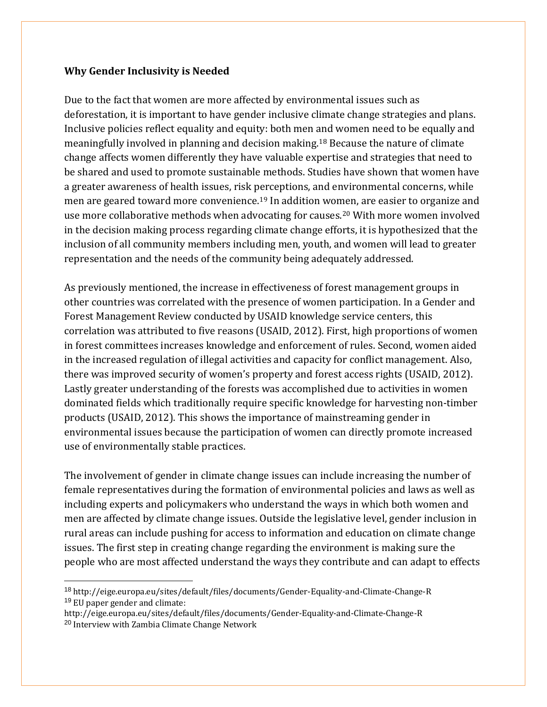#### **Why Gender Inclusivity is Needed**

Due to the fact that women are more affected by environmental issues such as deforestation, it is important to have gender inclusive climate change strategies and plans. Inclusive policies reflect equality and equity: both men and women need to be equally and meaningfully involved in planning and decision making[.18](#page-16-0) Because the nature of climate change affects women differently they have valuable expertise and strategies that need to be shared and used to promote sustainable methods. Studies have shown that women have a greater awareness of health issues, risk perceptions, and environmental concerns, while men are geared toward more convenience.[19](#page-16-1) In addition women, are easier to organize and use more collaborative methods when advocating for causes.[20](#page-16-2) With more women involved in the decision making process regarding climate change efforts, it is hypothesized that the inclusion of all community members including men, youth, and women will lead to greater representation and the needs of the community being adequately addressed.

As previously mentioned, the increase in effectiveness of forest management groups in other countries was correlated with the presence of women participation. In a Gender and Forest Management Review conducted by USAID knowledge service centers, this correlation was attributed to five reasons (USAID, 2012). First, high proportions of women in forest committees increases knowledge and enforcement of rules. Second, women aided in the increased regulation of illegal activities and capacity for conflict management. Also, there was improved security of women's property and forest access rights (USAID, 2012). Lastly greater understanding of the forests was accomplished due to activities in women dominated fields which traditionally require specific knowledge for harvesting non-timber products (USAID, 2012). This shows the importance of mainstreaming gender in environmental issues because the participation of women can directly promote increased use of environmentally stable practices.

The involvement of gender in climate change issues can include increasing the number of female representatives during the formation of environmental policies and laws as well as including experts and policymakers who understand the ways in which both women and men are affected by climate change issues. Outside the legislative level, gender inclusion in rural areas can include pushing for access to information and education on climate change issues. The first step in creating change regarding the environment is making sure the people who are most affected understand the ways they contribute and can adapt to effects

<span id="page-16-0"></span> <sup>18</sup> http://eige.europa.eu/sites/default/files/documents/Gender-Equality-and-Climate-Change-R <sup>19</sup> EU paper gender and climate:

<span id="page-16-2"></span><span id="page-16-1"></span>http://eige.europa.eu/sites/default/files/documents/Gender-Equality-and-Climate-Change-R <sup>20</sup> Interview with Zambia Climate Change Network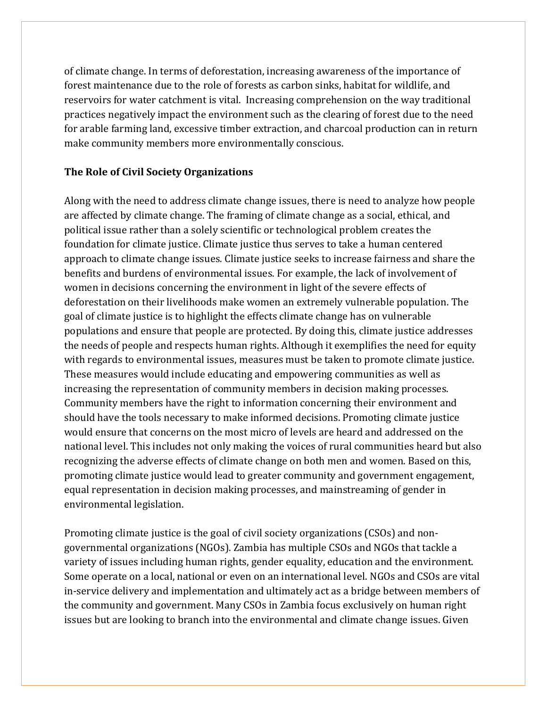of climate change. In terms of deforestation, increasing awareness of the importance of forest maintenance due to the role of forests as carbon sinks, habitat for wildlife, and reservoirs for water catchment is vital. Increasing comprehension on the way traditional practices negatively impact the environment such as the clearing of forest due to the need for arable farming land, excessive timber extraction, and charcoal production can in return make community members more environmentally conscious.

#### **The Role of Civil Society Organizations**

Along with the need to address climate change issues, there is need to analyze how people are affected by climate change. The framing of climate change as a social, ethical, and political issue rather than a solely scientific or technological problem creates the foundation for climate justice. Climate justice thus serves to take a human centered approach to climate change issues. Climate justice seeks to increase fairness and share the benefits and burdens of environmental issues. For example, the lack of involvement of women in decisions concerning the environment in light of the severe effects of deforestation on their livelihoods make women an extremely vulnerable population. The goal of climate justice is to highlight the effects climate change has on vulnerable populations and ensure that people are protected. By doing this, climate justice addresses the needs of people and respects human rights. Although it exemplifies the need for equity with regards to environmental issues, measures must be taken to promote climate justice. These measures would include educating and empowering communities as well as increasing the representation of community members in decision making processes. Community members have the right to information concerning their environment and should have the tools necessary to make informed decisions. Promoting climate justice would ensure that concerns on the most micro of levels are heard and addressed on the national level. This includes not only making the voices of rural communities heard but also recognizing the adverse effects of climate change on both men and women. Based on this, promoting climate justice would lead to greater community and government engagement, equal representation in decision making processes, and mainstreaming of gender in environmental legislation.

Promoting climate justice is the goal of civil society organizations (CSOs) and nongovernmental organizations (NGOs). Zambia has multiple CSOs and NGOs that tackle a variety of issues including human rights, gender equality, education and the environment. Some operate on a local, national or even on an international level. NGOs and CSOs are vital in-service delivery and implementation and ultimately act as a bridge between members of the community and government. Many CSOs in Zambia focus exclusively on human right issues but are looking to branch into the environmental and climate change issues. Given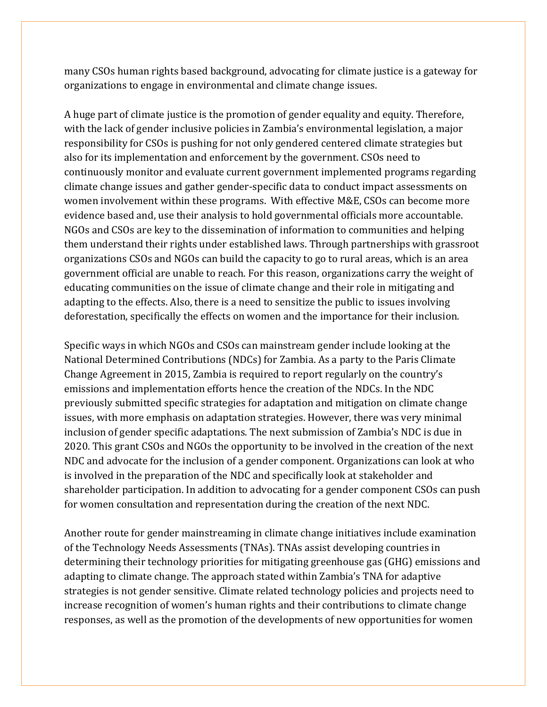many CSOs human rights based background, advocating for climate justice is a gateway for organizations to engage in environmental and climate change issues.

A huge part of climate justice is the promotion of gender equality and equity. Therefore, with the lack of gender inclusive policies in Zambia's environmental legislation, a major responsibility for CSOs is pushing for not only gendered centered climate strategies but also for its implementation and enforcement by the government. CSOs need to continuously monitor and evaluate current government implemented programs regarding climate change issues and gather gender-specific data to conduct impact assessments on women involvement within these programs. With effective M&E, CSOs can become more evidence based and, use their analysis to hold governmental officials more accountable. NGOs and CSOs are key to the dissemination of information to communities and helping them understand their rights under established laws. Through partnerships with grassroot organizations CSOs and NGOs can build the capacity to go to rural areas, which is an area government official are unable to reach. For this reason, organizations carry the weight of educating communities on the issue of climate change and their role in mitigating and adapting to the effects. Also, there is a need to sensitize the public to issues involving deforestation, specifically the effects on women and the importance for their inclusion.

Specific ways in which NGOs and CSOs can mainstream gender include looking at the National Determined Contributions (NDCs) for Zambia. As a party to the Paris Climate Change Agreement in 2015, Zambia is required to report regularly on the country's emissions and implementation efforts hence the creation of the NDCs. In the NDC previously submitted specific strategies for adaptation and mitigation on climate change issues, with more emphasis on adaptation strategies. However, there was very minimal inclusion of gender specific adaptations. The next submission of Zambia's NDC is due in 2020. This grant CSOs and NGOs the opportunity to be involved in the creation of the next NDC and advocate for the inclusion of a gender component. Organizations can look at who is involved in the preparation of the NDC and specifically look at stakeholder and shareholder participation. In addition to advocating for a gender component CSOs can push for women consultation and representation during the creation of the next NDC.

Another route for gender mainstreaming in climate change initiatives include examination of the Technology Needs Assessments (TNAs). TNAs assist developing countries in determining their technology priorities for mitigating greenhouse gas (GHG) emissions and adapting to climate change. The approach stated within Zambia's TNA for adaptive strategies is not gender sensitive. Climate related technology policies and projects need to increase recognition of women's human rights and their contributions to climate change responses, as well as the promotion of the developments of new opportunities for women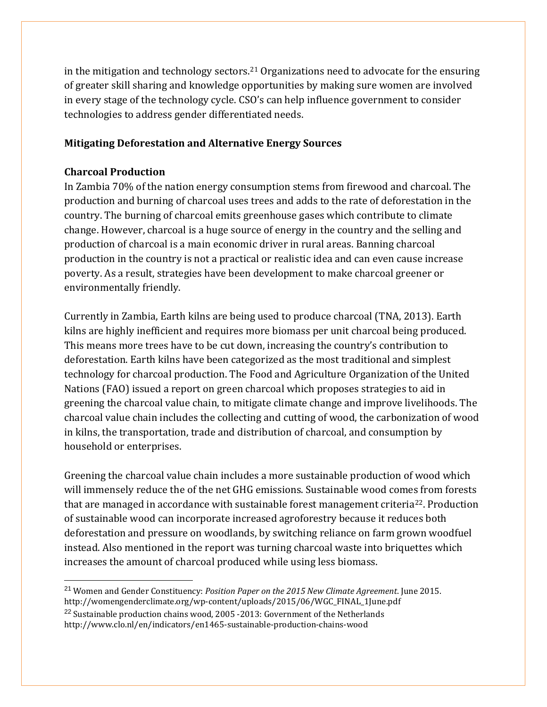in the mitigation and technology sectors.<sup>[21](#page-19-0)</sup> Organizations need to advocate for the ensuring of greater skill sharing and knowledge opportunities by making sure women are involved in every stage of the technology cycle. CSO's can help influence government to consider technologies to address gender differentiated needs.

# **Mitigating Deforestation and Alternative Energy Sources**

## **Charcoal Production**

In Zambia 70% of the nation energy consumption stems from firewood and charcoal. The production and burning of charcoal uses trees and adds to the rate of deforestation in the country. The burning of charcoal emits greenhouse gases which contribute to climate change. However, charcoal is a huge source of energy in the country and the selling and production of charcoal is a main economic driver in rural areas. Banning charcoal production in the country is not a practical or realistic idea and can even cause increase poverty. As a result, strategies have been development to make charcoal greener or environmentally friendly.

Currently in Zambia, Earth kilns are being used to produce charcoal (TNA, 2013). Earth kilns are highly inefficient and requires more biomass per unit charcoal being produced. This means more trees have to be cut down, increasing the country's contribution to deforestation. Earth kilns have been categorized as the most traditional and simplest technology for charcoal production. The Food and Agriculture Organization of the United Nations (FAO) issued a report on green charcoal which proposes strategies to aid in greening the charcoal value chain, to mitigate climate change and improve livelihoods. The charcoal value chain includes the collecting and cutting of wood, the carbonization of wood in kilns, the transportation, trade and distribution of charcoal, and consumption by household or enterprises.

Greening the charcoal value chain includes a more sustainable production of wood which will immensely reduce the of the net GHG emissions. Sustainable wood comes from forests that are managed in accordance with sustainable forest management criteria<sup>22</sup>. Production of sustainable wood can incorporate increased agroforestry because it reduces both deforestation and pressure on woodlands, by switching reliance on farm grown woodfuel instead. Also mentioned in the report was turning charcoal waste into briquettes which increases the amount of charcoal produced while using less biomass.

<span id="page-19-0"></span> <sup>21</sup> Women and Gender Constituency: *Position Paper on the 2015 New Climate Agreement*. June 2015.

<span id="page-19-1"></span>http://womengenderclimate.org/wp-content/uploads/2015/06/WGC\_FINAL\_1June.pdf <sup>22</sup> Sustainable production chains wood, 2005 -2013: Government of the Netherlands

http://www.clo.nl/en/indicators/en1465-sustainable-production-chains-wood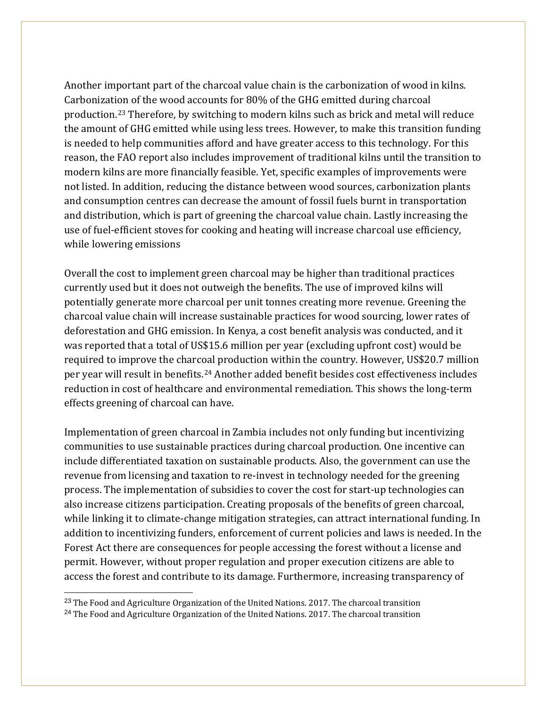Another important part of the charcoal value chain is the carbonization of wood in kilns. Carbonization of the wood accounts for 80% of the GHG emitted during charcoal production.[23](#page-20-0) Therefore, by switching to modern kilns such as brick and metal will reduce the amount of GHG emitted while using less trees. However, to make this transition funding is needed to help communities afford and have greater access to this technology. For this reason, the FAO report also includes improvement of traditional kilns until the transition to modern kilns are more financially feasible. Yet, specific examples of improvements were not listed. In addition, reducing the distance between wood sources, carbonization plants and consumption centres can decrease the amount of fossil fuels burnt in transportation and distribution, which is part of greening the charcoal value chain. Lastly increasing the use of fuel-efficient stoves for cooking and heating will increase charcoal use efficiency, while lowering emissions

Overall the cost to implement green charcoal may be higher than traditional practices currently used but it does not outweigh the benefits. The use of improved kilns will potentially generate more charcoal per unit tonnes creating more revenue. Greening the charcoal value chain will increase sustainable practices for wood sourcing, lower rates of deforestation and GHG emission. In Kenya, a cost benefit analysis was conducted, and it was reported that a total of US\$15.6 million per year (excluding upfront cost) would be required to improve the charcoal production within the country. However, US\$20.7 million per year will result in benefits.[24](#page-20-1) Another added benefit besides cost effectiveness includes reduction in cost of healthcare and environmental remediation. This shows the long-term effects greening of charcoal can have.

Implementation of green charcoal in Zambia includes not only funding but incentivizing communities to use sustainable practices during charcoal production. One incentive can include differentiated taxation on sustainable products. Also, the government can use the revenue from licensing and taxation to re-invest in technology needed for the greening process. The implementation of subsidies to cover the cost for start-up technologies can also increase citizens participation. Creating proposals of the benefits of green charcoal, while linking it to climate-change mitigation strategies, can attract international funding. In addition to incentivizing funders, enforcement of current policies and laws is needed. In the Forest Act there are consequences for people accessing the forest without a license and permit. However, without proper regulation and proper execution citizens are able to access the forest and contribute to its damage. Furthermore, increasing transparency of

<span id="page-20-1"></span><span id="page-20-0"></span><sup>23</sup> The Food and Agriculture Organization of the United Nations. 2017. The charcoal transition <sup>24</sup> The Food and Agriculture Organization of the United Nations. 2017. The charcoal transition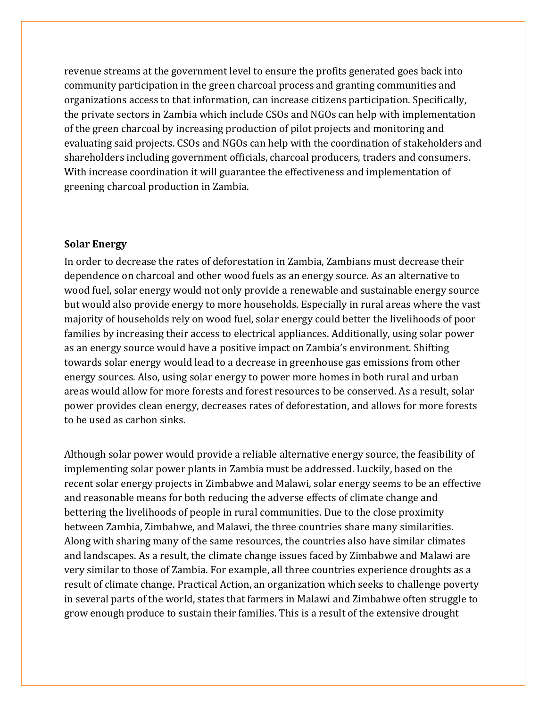revenue streams at the government level to ensure the profits generated goes back into community participation in the green charcoal process and granting communities and organizations access to that information, can increase citizens participation. Specifically, the private sectors in Zambia which include CSOs and NGOs can help with implementation of the green charcoal by increasing production of pilot projects and monitoring and evaluating said projects. CSOs and NGOs can help with the coordination of stakeholders and shareholders including government officials, charcoal producers, traders and consumers. With increase coordination it will guarantee the effectiveness and implementation of greening charcoal production in Zambia.

#### **Solar Energy**

In order to decrease the rates of deforestation in Zambia, Zambians must decrease their dependence on charcoal and other wood fuels as an energy source. As an alternative to wood fuel, solar energy would not only provide a renewable and sustainable energy source but would also provide energy to more households. Especially in rural areas where the vast majority of households rely on wood fuel, solar energy could better the livelihoods of poor families by increasing their access to electrical appliances. Additionally, using solar power as an energy source would have a positive impact on Zambia's environment. Shifting towards solar energy would lead to a decrease in greenhouse gas emissions from other energy sources. Also, using solar energy to power more homes in both rural and urban areas would allow for more forests and forest resources to be conserved. As a result, solar power provides clean energy, decreases rates of deforestation, and allows for more forests to be used as carbon sinks.

Although solar power would provide a reliable alternative energy source, the feasibility of implementing solar power plants in Zambia must be addressed. Luckily, based on the recent solar energy projects in Zimbabwe and Malawi, solar energy seems to be an effective and reasonable means for both reducing the adverse effects of climate change and bettering the livelihoods of people in rural communities. Due to the close proximity between Zambia, Zimbabwe, and Malawi, the three countries share many similarities. Along with sharing many of the same resources, the countries also have similar climates and landscapes. As a result, the climate change issues faced by Zimbabwe and Malawi are very similar to those of Zambia. For example, all three countries experience droughts as a result of climate change. Practical Action, an organization which seeks to challenge poverty in several parts of the world, states that farmers in Malawi and Zimbabwe often struggle to grow enough produce to sustain their families. This is a result of the extensive drought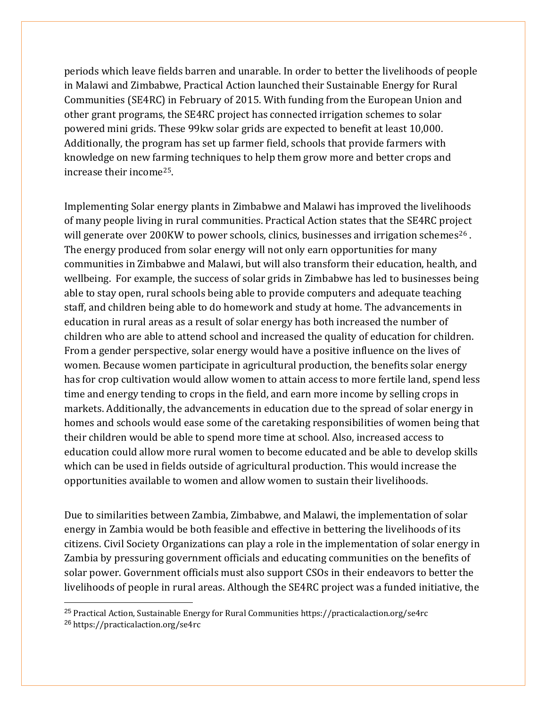periods which leave fields barren and unarable. In order to better the livelihoods of people in Malawi and Zimbabwe, Practical Action launched their Sustainable Energy for Rural Communities (SE4RC) in February of 2015. With funding from the European Union and other grant programs, the SE4RC project has connected irrigation schemes to solar powered mini grids. These 99kw solar grids are expected to benefit at least 10,000. Additionally, the program has set up farmer field, schools that provide farmers with knowledge on new farming techniques to help them grow more and better crops and increase their income[25](#page-22-0).

Implementing Solar energy plants in Zimbabwe and Malawi has improved the livelihoods of many people living in rural communities. Practical Action states that the SE4RC project will generate over 200KW to power schools, clinics, businesses and irrigation schemes<sup>[26](#page-22-1)</sup>. The energy produced from solar energy will not only earn opportunities for many communities in Zimbabwe and Malawi, but will also transform their education, health, and wellbeing. For example, the success of solar grids in Zimbabwe has led to businesses being able to stay open, rural schools being able to provide computers and adequate teaching staff, and children being able to do homework and study at home. The advancements in education in rural areas as a result of solar energy has both increased the number of children who are able to attend school and increased the quality of education for children. From a gender perspective, solar energy would have a positive influence on the lives of women. Because women participate in agricultural production, the benefits solar energy has for crop cultivation would allow women to attain access to more fertile land, spend less time and energy tending to crops in the field, and earn more income by selling crops in markets. Additionally, the advancements in education due to the spread of solar energy in homes and schools would ease some of the caretaking responsibilities of women being that their children would be able to spend more time at school. Also, increased access to education could allow more rural women to become educated and be able to develop skills which can be used in fields outside of agricultural production. This would increase the opportunities available to women and allow women to sustain their livelihoods.

Due to similarities between Zambia, Zimbabwe, and Malawi, the implementation of solar energy in Zambia would be both feasible and effective in bettering the livelihoods of its citizens. Civil Society Organizations can play a role in the implementation of solar energy in Zambia by pressuring government officials and educating communities on the benefits of solar power. Government officials must also support CSOs in their endeavors to better the livelihoods of people in rural areas. Although the SE4RC project was a funded initiative, the

<span id="page-22-1"></span><span id="page-22-0"></span> 25 Practical Action, Sustainable Energy for Rural Communities https://practicalaction.org/se4rc <sup>26</sup> https://practicalaction.org/se4rc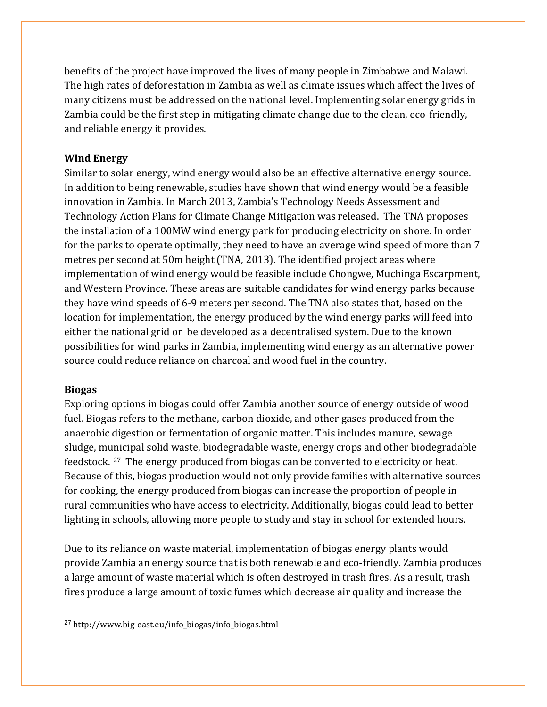benefits of the project have improved the lives of many people in Zimbabwe and Malawi. The high rates of deforestation in Zambia as well as climate issues which affect the lives of many citizens must be addressed on the national level. Implementing solar energy grids in Zambia could be the first step in mitigating climate change due to the clean, eco-friendly, and reliable energy it provides.

# **Wind Energy**

Similar to solar energy, wind energy would also be an effective alternative energy source. In addition to being renewable, studies have shown that wind energy would be a feasible innovation in Zambia. In March 2013, Zambia's Technology Needs Assessment and Technology Action Plans for Climate Change Mitigation was released. The TNA proposes the installation of a 100MW wind energy park for producing electricity on shore. In order for the parks to operate optimally, they need to have an average wind speed of more than 7 metres per second at 50m height (TNA, 2013). The identified project areas where implementation of wind energy would be feasible include Chongwe, Muchinga Escarpment, and Western Province. These areas are suitable candidates for wind energy parks because they have wind speeds of 6-9 meters per second. The TNA also states that, based on the location for implementation, the energy produced by the wind energy parks will feed into either the national grid or be developed as a decentralised system. Due to the known possibilities for wind parks in Zambia, implementing wind energy as an alternative power source could reduce reliance on charcoal and wood fuel in the country.

### **Biogas**

Exploring options in biogas could offer Zambia another source of energy outside of wood fuel. Biogas refers to the methane, carbon dioxide, and other gases produced from the anaerobic digestion or fermentation of organic matter. This includes manure, sewage sludge, municipal solid waste, biodegradable waste, energy crops and other biodegradable feedstock. [27](#page-23-0) The energy produced from biogas can be converted to electricity or heat. Because of this, biogas production would not only provide families with alternative sources for cooking, the energy produced from biogas can increase the proportion of people in rural communities who have access to electricity. Additionally, biogas could lead to better lighting in schools, allowing more people to study and stay in school for extended hours.

Due to its reliance on waste material, implementation of biogas energy plants would provide Zambia an energy source that is both renewable and eco-friendly. Zambia produces a large amount of waste material which is often destroyed in trash fires. As a result, trash fires produce a large amount of toxic fumes which decrease air quality and increase the

<span id="page-23-0"></span> <sup>27</sup> http://www.big-east.eu/info\_biogas/info\_biogas.html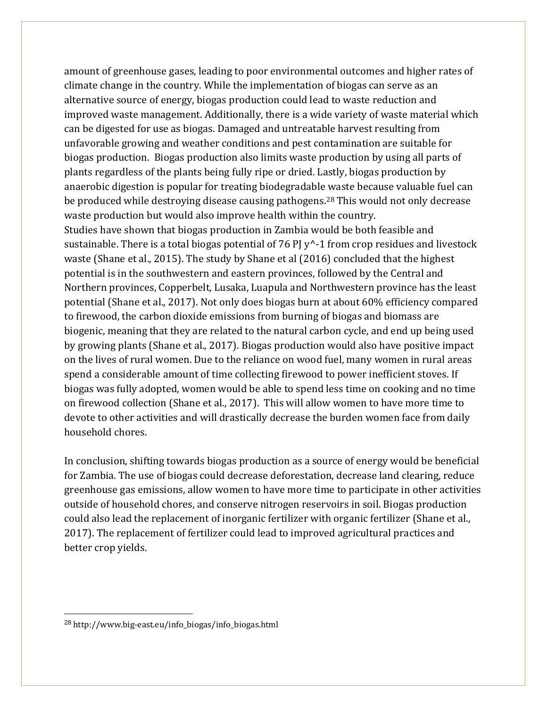amount of greenhouse gases, leading to poor environmental outcomes and higher rates of climate change in the country. While the implementation of biogas can serve as an alternative source of energy, biogas production could lead to waste reduction and improved waste management. Additionally, there is a wide variety of waste material which can be digested for use as biogas. Damaged and untreatable harvest resulting from unfavorable growing and weather conditions and pest contamination are suitable for biogas production. Biogas production also limits waste production by using all parts of plants regardless of the plants being fully ripe or dried. Lastly, biogas production by anaerobic digestion is popular for treating biodegradable waste because valuable fuel can be produced while destroying disease causing pathogens.<sup>[28](#page-24-0)</sup> This would not only decrease waste production but would also improve health within the country. Studies have shown that biogas production in Zambia would be both feasible and sustainable. There is a total biogas potential of 76 PJ  $y^2$ -1 from crop residues and livestock waste (Shane et al., 2015). The study by Shane et al (2016) concluded that the highest potential is in the southwestern and eastern provinces, followed by the Central and Northern provinces, Copperbelt, Lusaka, Luapula and Northwestern province has the least potential (Shane et al., 2017). Not only does biogas burn at about 60% efficiency compared to firewood, the carbon dioxide emissions from burning of biogas and biomass are biogenic, meaning that they are related to the natural carbon cycle, and end up being used by growing plants (Shane et al., 2017). Biogas production would also have positive impact on the lives of rural women. Due to the reliance on wood fuel, many women in rural areas spend a considerable amount of time collecting firewood to power inefficient stoves. If biogas was fully adopted, women would be able to spend less time on cooking and no time on firewood collection (Shane et al., 2017). This will allow women to have more time to devote to other activities and will drastically decrease the burden women face from daily household chores.

In conclusion, shifting towards biogas production as a source of energy would be beneficial for Zambia. The use of biogas could decrease deforestation, decrease land clearing, reduce greenhouse gas emissions, allow women to have more time to participate in other activities outside of household chores, and conserve nitrogen reservoirs in soil. Biogas production could also lead the replacement of inorganic fertilizer with organic fertilizer (Shane et al., 2017). The replacement of fertilizer could lead to improved agricultural practices and better crop yields.

<span id="page-24-0"></span> <sup>28</sup> http://www.big-east.eu/info\_biogas/info\_biogas.html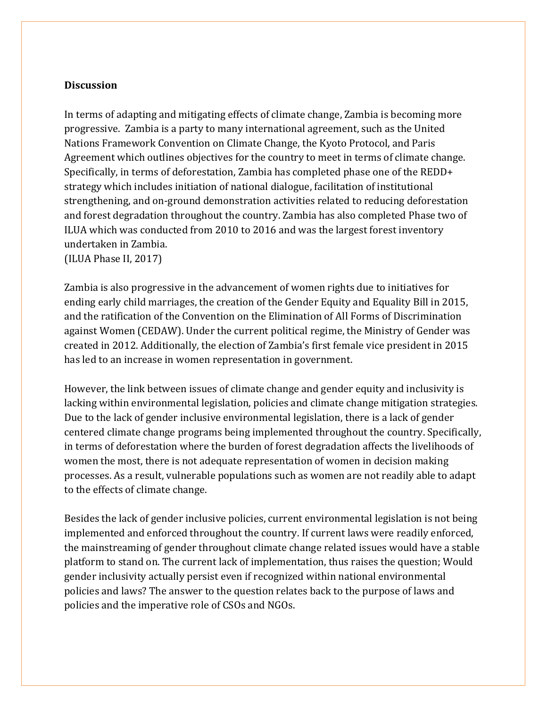## **Discussion**

In terms of adapting and mitigating effects of climate change, Zambia is becoming more progressive. Zambia is a party to many international agreement, such as the United Nations Framework Convention on Climate Change, the Kyoto Protocol, and Paris Agreement which outlines objectives for the country to meet in terms of climate change. Specifically, in terms of deforestation, Zambia has completed phase one of the REDD+ strategy which includes initiation of national dialogue, facilitation of institutional strengthening, and on-ground demonstration activities related to reducing deforestation and forest degradation throughout the country. Zambia has also completed Phase two of ILUA which was conducted from 2010 to 2016 and was the largest forest inventory undertaken in Zambia.

(ILUA Phase II, 2017)

Zambia is also progressive in the advancement of women rights due to initiatives for ending early child marriages, the creation of the Gender Equity and Equality Bill in 2015, and the ratification of the Convention on the Elimination of All Forms of Discrimination against Women (CEDAW). Under the current political regime, the Ministry of Gender was created in 2012. Additionally, the election of Zambia's first female vice president in 2015 has led to an increase in women representation in government.

However, the link between issues of climate change and gender equity and inclusivity is lacking within environmental legislation, policies and climate change mitigation strategies. Due to the lack of gender inclusive environmental legislation, there is a lack of gender centered climate change programs being implemented throughout the country. Specifically, in terms of deforestation where the burden of forest degradation affects the livelihoods of women the most, there is not adequate representation of women in decision making processes. As a result, vulnerable populations such as women are not readily able to adapt to the effects of climate change.

Besides the lack of gender inclusive policies, current environmental legislation is not being implemented and enforced throughout the country. If current laws were readily enforced, the mainstreaming of gender throughout climate change related issues would have a stable platform to stand on. The current lack of implementation, thus raises the question; Would gender inclusivity actually persist even if recognized within national environmental policies and laws? The answer to the question relates back to the purpose of laws and policies and the imperative role of CSOs and NGOs.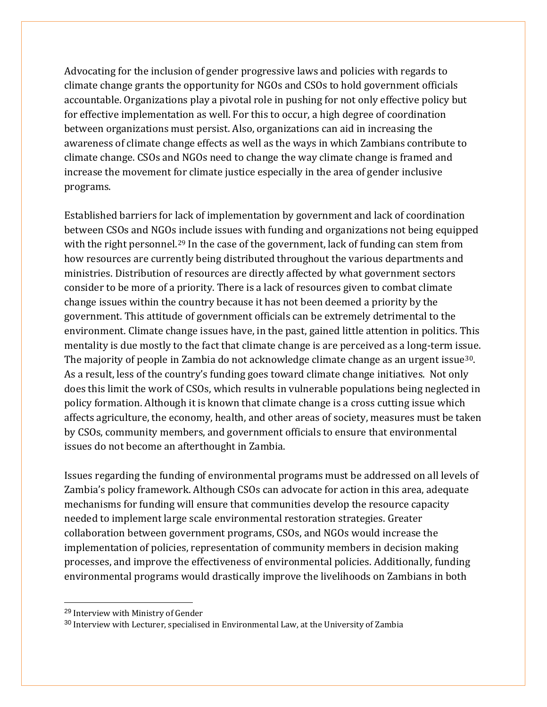Advocating for the inclusion of gender progressive laws and policies with regards to climate change grants the opportunity for NGOs and CSOs to hold government officials accountable. Organizations play a pivotal role in pushing for not only effective policy but for effective implementation as well. For this to occur, a high degree of coordination between organizations must persist. Also, organizations can aid in increasing the awareness of climate change effects as well as the ways in which Zambians contribute to climate change. CSOs and NGOs need to change the way climate change is framed and increase the movement for climate justice especially in the area of gender inclusive programs.

Established barriers for lack of implementation by government and lack of coordination between CSOs and NGOs include issues with funding and organizations not being equipped with the right personnel.<sup>[29](#page-26-0)</sup> In the case of the government, lack of funding can stem from how resources are currently being distributed throughout the various departments and ministries. Distribution of resources are directly affected by what government sectors consider to be more of a priority. There is a lack of resources given to combat climate change issues within the country because it has not been deemed a priority by the government. This attitude of government officials can be extremely detrimental to the environment. Climate change issues have, in the past, gained little attention in politics. This mentality is due mostly to the fact that climate change is are perceived as a long-term issue. The majority of people in Zambia do not acknowledge climate change as an urgent issue<sup>30</sup>. As a result, less of the country's funding goes toward climate change initiatives. Not only does this limit the work of CSOs, which results in vulnerable populations being neglected in policy formation. Although it is known that climate change is a cross cutting issue which affects agriculture, the economy, health, and other areas of society, measures must be taken by CSOs, community members, and government officials to ensure that environmental issues do not become an afterthought in Zambia.

Issues regarding the funding of environmental programs must be addressed on all levels of Zambia's policy framework. Although CSOs can advocate for action in this area, adequate mechanisms for funding will ensure that communities develop the resource capacity needed to implement large scale environmental restoration strategies. Greater collaboration between government programs, CSOs, and NGOs would increase the implementation of policies, representation of community members in decision making processes, and improve the effectiveness of environmental policies. Additionally, funding environmental programs would drastically improve the livelihoods on Zambians in both

<span id="page-26-0"></span> <sup>29</sup> Interview with Ministry of Gender

<span id="page-26-1"></span><sup>30</sup> Interview with Lecturer, specialised in Environmental Law, at the University of Zambia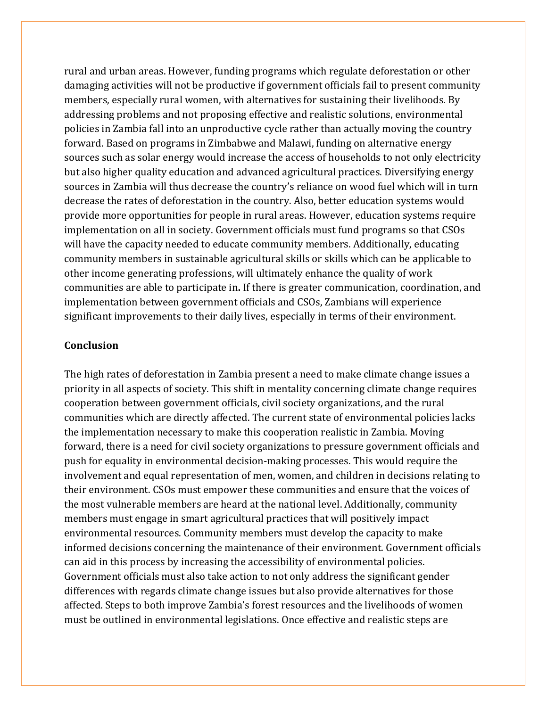rural and urban areas. However, funding programs which regulate deforestation or other damaging activities will not be productive if government officials fail to present community members, especially rural women, with alternatives for sustaining their livelihoods. By addressing problems and not proposing effective and realistic solutions, environmental policies in Zambia fall into an unproductive cycle rather than actually moving the country forward. Based on programs in Zimbabwe and Malawi, funding on alternative energy sources such as solar energy would increase the access of households to not only electricity but also higher quality education and advanced agricultural practices. Diversifying energy sources in Zambia will thus decrease the country's reliance on wood fuel which will in turn decrease the rates of deforestation in the country. Also, better education systems would provide more opportunities for people in rural areas. However, education systems require implementation on all in society. Government officials must fund programs so that CSOs will have the capacity needed to educate community members. Additionally, educating community members in sustainable agricultural skills or skills which can be applicable to other income generating professions, will ultimately enhance the quality of work communities are able to participate in**.** If there is greater communication, coordination, and implementation between government officials and CSOs, Zambians will experience significant improvements to their daily lives, especially in terms of their environment.

#### **Conclusion**

The high rates of deforestation in Zambia present a need to make climate change issues a priority in all aspects of society. This shift in mentality concerning climate change requires cooperation between government officials, civil society organizations, and the rural communities which are directly affected. The current state of environmental policies lacks the implementation necessary to make this cooperation realistic in Zambia. Moving forward, there is a need for civil society organizations to pressure government officials and push for equality in environmental decision-making processes. This would require the involvement and equal representation of men, women, and children in decisions relating to their environment. CSOs must empower these communities and ensure that the voices of the most vulnerable members are heard at the national level. Additionally, community members must engage in smart agricultural practices that will positively impact environmental resources. Community members must develop the capacity to make informed decisions concerning the maintenance of their environment. Government officials can aid in this process by increasing the accessibility of environmental policies. Government officials must also take action to not only address the significant gender differences with regards climate change issues but also provide alternatives for those affected. Steps to both improve Zambia's forest resources and the livelihoods of women must be outlined in environmental legislations. Once effective and realistic steps are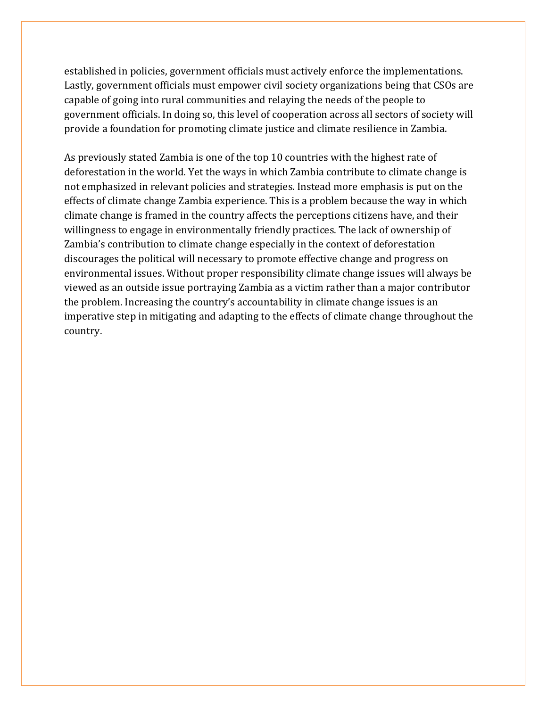established in policies, government officials must actively enforce the implementations. Lastly, government officials must empower civil society organizations being that CSOs are capable of going into rural communities and relaying the needs of the people to government officials. In doing so, this level of cooperation across all sectors of society will provide a foundation for promoting climate justice and climate resilience in Zambia.

As previously stated Zambia is one of the top 10 countries with the highest rate of deforestation in the world. Yet the ways in which Zambia contribute to climate change is not emphasized in relevant policies and strategies. Instead more emphasis is put on the effects of climate change Zambia experience. This is a problem because the way in which climate change is framed in the country affects the perceptions citizens have, and their willingness to engage in environmentally friendly practices. The lack of ownership of Zambia's contribution to climate change especially in the context of deforestation discourages the political will necessary to promote effective change and progress on environmental issues. Without proper responsibility climate change issues will always be viewed as an outside issue portraying Zambia as a victim rather than a major contributor the problem. Increasing the country's accountability in climate change issues is an imperative step in mitigating and adapting to the effects of climate change throughout the country.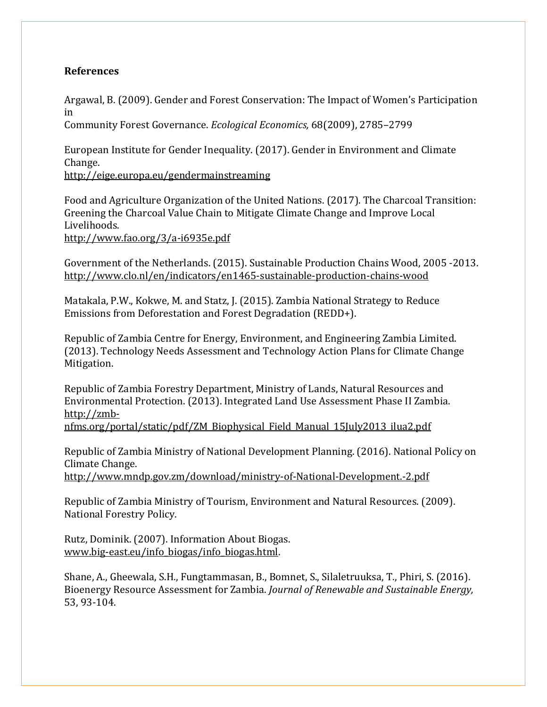#### **References**

Argawal, B. (2009). Gender and Forest Conservation: The Impact of Women's Participation in

Community Forest Governance. *Ecological Economics,* 68(2009), 2785–2799

European Institute for Gender Inequality. (2017). Gender in Environment and Climate Change. <http://eige.europa.eu/gendermainstreaming>

Food and Agriculture Organization of the United Nations. (2017). The Charcoal Transition: Greening the Charcoal Value Chain to Mitigate Climate Change and Improve Local Livelihoods.

<http://www.fao.org/3/a-i6935e.pdf>

Government of the Netherlands. (2015). Sustainable Production Chains Wood, 2005 -2013. <http://www.clo.nl/en/indicators/en1465-sustainable-production-chains-wood>

Matakala, P.W., Kokwe, M. and Statz, J. (2015). Zambia National Strategy to Reduce Emissions from Deforestation and Forest Degradation (REDD+).

Republic of Zambia Centre for Energy, Environment, and Engineering Zambia Limited. (2013). Technology Needs Assessment and Technology Action Plans for Climate Change Mitigation.

Republic of Zambia Forestry Department, Ministry of Lands, Natural Resources and [Environmental Protection. \(2013\). Integrated Land Use Assessment Phase II Zambia.](http://zmb-nfms.org/portal/static/pdf/ZM_Biophysical_Field_Manual_15July2013_ilua2.pdf)  http://zmb-

[nfms.org/portal/static/pdf/ZM\\_Biophysical\\_Field\\_Manual\\_15July2013\\_ilua2.pdf](http://zmb-nfms.org/portal/static/pdf/ZM_Biophysical_Field_Manual_15July2013_ilua2.pdf)

Republic of Zambia Ministry of National Development Planning. (2016). National Policy on Climate Change.

<http://www.mndp.gov.zm/download/ministry-of-National-Development.-2.pdf>

Republic of Zambia Ministry of Tourism, Environment and Natural Resources. (2009). National Forestry Policy.

Rutz, Dominik. (2007). Information About Biogas. [www.big-east.eu/info\\_biogas/info\\_biogas.html.](http://www.big-east.eu/info_biogas/info_biogas.html)

Shane, A., Gheewala, S.H., Fungtammasan, B., Bomnet, S., Silaletruuksa, T., Phiri, S. (2016). Bioenergy Resource Assessment for Zambia. *Journal of Renewable and Sustainable Energy,*  53, 93-104.